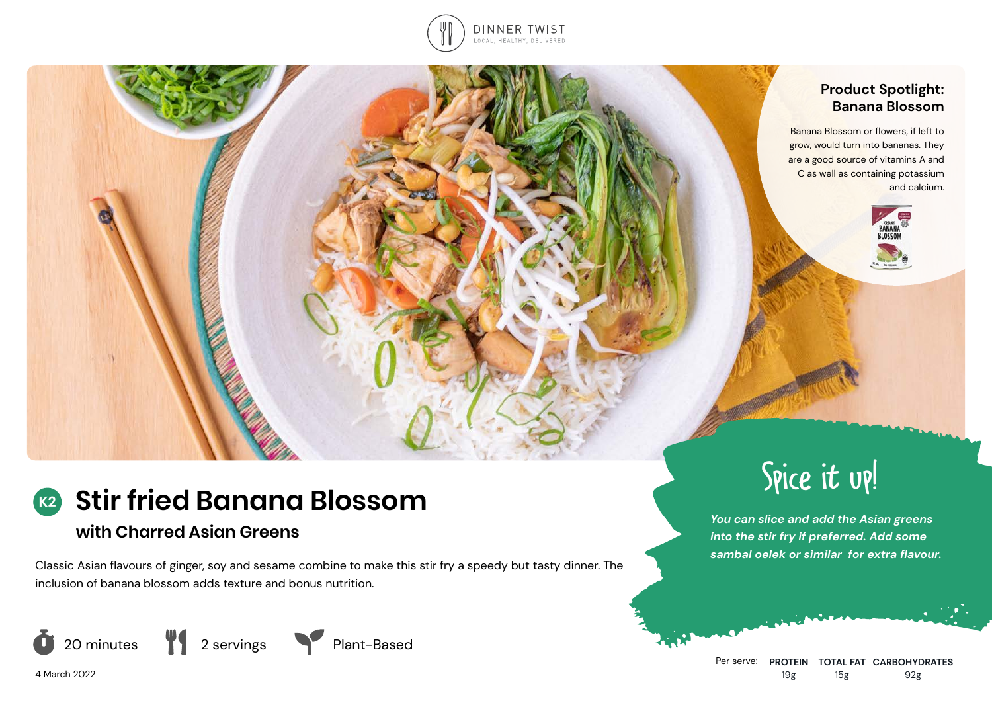

### **Product Spotlight: Banana Blossom**

Banana Blossom or flowers, if left to grow, would turn into bananas. They are a good source of vitamins A and C as well as containing potassium and calcium.



# **with Charred Asian Greens**

Classic Asian flavours of ginger, soy and sesame combine to make this stir fry a speedy but tasty dinner. The inclusion of banana blossom adds texture and bonus nutrition.



4 March 2022

Spice it up!

*You can slice and add the Asian greens into the stir fry if preferred. Add some sambal oelek or similar for extra flavour.*